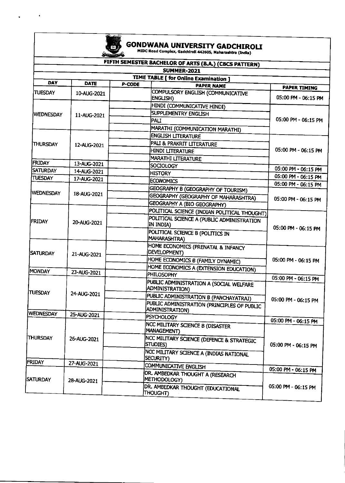

.

ä,

## **GONDWANA UNIVERSITY GADCHIROLI**<br>MIDC Road Complex, Gadchiroli 442605, Maharashtra (India)

|                  |                            |                                                        | FIFTH SEMESTER BACHELOR OF ARTS (B.A.) (CBCS PATTERN)  |                                            |  |
|------------------|----------------------------|--------------------------------------------------------|--------------------------------------------------------|--------------------------------------------|--|
|                  |                            | <b>SUMMER-2021</b>                                     |                                                        |                                            |  |
| <b>DAY</b>       | <b>DATE</b>                | TIME TABLE [ for Online Examination ]<br><b>P-CODE</b> |                                                        |                                            |  |
|                  |                            |                                                        | <b>PAPER NAME</b>                                      | <b>PAPER TIMING</b>                        |  |
| <b>TUESDAY</b>   | 10-AUG-2021                | ENGLISH)                                               | COMPULSORY ENGLISH (COMMUNICATIVE                      | 05:00 PM - 06:15 PM                        |  |
|                  |                            |                                                        | HINDI (COMMUNICATIVE HINDI)                            |                                            |  |
| WEDNESDAY        | 11-AUG-2021                | SUPPLEMENTRY ENGLISH                                   |                                                        |                                            |  |
|                  |                            | PALI                                                   |                                                        | 05:00 PM - 06:15 PM                        |  |
|                  |                            |                                                        | MARATHI (COMMUNICATION MARATHI)                        |                                            |  |
|                  |                            |                                                        | <b>ENGLISH LITERATURE</b><br>PALI & PRAKRIT LITERATURE |                                            |  |
| THURSDAY         | 12-AUG-2021                |                                                        |                                                        |                                            |  |
|                  |                            | HINDI LITERATURE                                       |                                                        | 05:00 PM - 06:15 PM                        |  |
| <b>FRIDAY</b>    |                            |                                                        | <b>MARATHI LITERATURE</b>                              |                                            |  |
| <b>SATURDAY</b>  | 13-AUG-2021                | SOCIOLOGY                                              |                                                        | 05:00 PM - 06:15 PM                        |  |
| TUESDAY          | 14-AUG-2021<br>17-AUG-2021 | <b>HISTORY</b>                                         |                                                        | 05:00 PM - 06:15 PM                        |  |
|                  |                            | <b>ECONOMICS</b>                                       |                                                        | 05:00 PM - 06:15 PM                        |  |
| WEDNESDAY        |                            |                                                        | GEOGRAPHY B (GEOGRAPHY OF TOURISM)                     |                                            |  |
|                  | 18-AUG-2021                |                                                        | GEOGRAPHY (GEOGRAPHY OF MAHARASHTRA)                   | 05:00 PM - 06:15 PM                        |  |
|                  |                            |                                                        | GEOGRAPHY A (BIO GEOGRAPHY)                            |                                            |  |
|                  |                            |                                                        | POLITICAL SCIENCE (INDIAN POLITICAL THOUGHT)           |                                            |  |
| <b>FRIDAY</b>    | 20-AUG-2021                | IN INDIA)                                              | POLITICAL SCIENCE A (PUBLIC ADMINISTRATION             | 05:00 PM - 06:15 PM                        |  |
|                  |                            | MAHARASHTRA)                                           | POLITICAL SCIENCE B (POLITICS IN                       |                                            |  |
| <b>SATURDAY</b>  | 21-AUG-2021                | DEVELOPMENT)                                           | HOME ECONOMICS (PRENATAL & INFANCY                     | 05:00 PM - 06:15 PM                        |  |
|                  |                            |                                                        | HOME ECONOMICS B (FAMILY DYNAMIC)                      |                                            |  |
|                  |                            |                                                        | HOME ECONOMICS A (EXTENSION EDUCATION)                 |                                            |  |
| MONDAY           | 23-AUG-2021                | PHILOSOPHY                                             |                                                        | 05:00 PM - 06:15 PM                        |  |
|                  |                            | ADMINISTRATION)                                        | PUBLIC ADMINISTRATION A (SOCIAL WELFARE                |                                            |  |
| TUESDAY          | 24-AUG-2021                |                                                        | PUBLIC ADMINISTRATION B (PANCHAYATRAJ)                 | 05:00 PM - 06:15 PM                        |  |
|                  |                            | <b>ADMINISTRATION)</b>                                 | PUBLIC ADMINISTRATION (PRINCIPLES OF PUBLIC            |                                            |  |
| <b>WEDNESDAY</b> | 25-AUG-2021                | PSYCHOLOGY                                             |                                                        |                                            |  |
| <b>THURSDAY</b>  | 26-AUG-2021                | MANAGEMENT)                                            | NCC MILITARY SCIENCE B (DISASTER                       | 05:00 PM - 06:15 PM<br>05:00 PM - 06:15 PM |  |
|                  |                            | STUDIES)                                               | NCC MILITARY SCIENCE (DEFENCE & STRATEGIC              |                                            |  |
|                  |                            | SECURITY)                                              | NCC MILITARY SCIENCE A (INDIAS NATIONAL                |                                            |  |
| FRIDAY           | 27-AUG-2021                | COMMUNICATIVE ENGLISH                                  |                                                        |                                            |  |
| <b>SATURDAY</b>  | 28-AUG-2021                | METHODOLOGY)                                           | <b>IDR. AMBEDKAR THOUGHT A (RESEARCH</b>               | 05:00 PM - 06:15 PM                        |  |
|                  |                            | THOUGHT)                                               | DR. AMBEDKAR THOUGHT (EDUCATIONAL                      | 05:00 PM - 06:15 PM                        |  |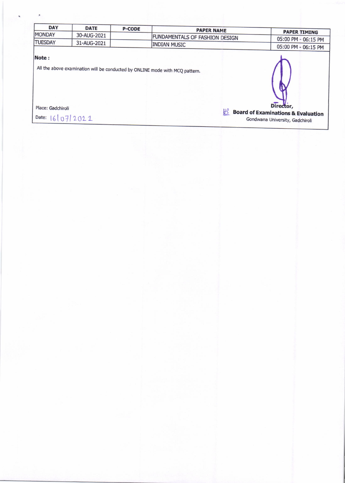| <b>DAY</b>        | <b>DATE</b> | <b>P-CODE</b> | <b>PAPER NAME</b>                                                            |                                                            |
|-------------------|-------------|---------------|------------------------------------------------------------------------------|------------------------------------------------------------|
| MONDAY            | 30-AUG-2021 |               | FUNDAMENTALS OF FASHION DESIGN                                               | <b>PAPER TIMING</b>                                        |
| <b>TUESDAY</b>    | 31-AUG-2021 |               |                                                                              | 05:00 PM - 06:15 PM                                        |
|                   |             |               | <b>INDIAN MUSIC</b>                                                          | 05:00 PM - 06:15 PM                                        |
| Note:             |             |               | All the above examination will be conducted by ONLINE mode with MCQ pattern. |                                                            |
| Place: Gadchiroli |             |               | $H^2$                                                                        | Director,<br><b>Board of Examinations &amp; Evaluation</b> |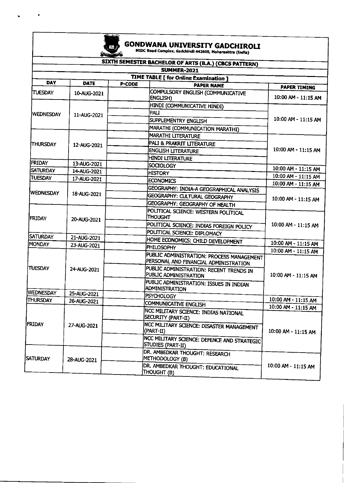

 $\mathcal{L}$ 

## **GONDWANA UNIVERSITY GADCHIROLI**<br>MIDC Road Complex, Gadchiroll 442505, Maharashtra (India)

|                                       |             | SIXTH SEMESTER BACHELOR OF ARTS (B.A.) (CBCS PATTERN)<br>SUMMER-2021               |                                            |                     |  |  |
|---------------------------------------|-------------|------------------------------------------------------------------------------------|--------------------------------------------|---------------------|--|--|
| TIME TABLE [ for Online Examination ] |             |                                                                                    |                                            |                     |  |  |
| <b>DAY</b>                            | <b>DATE</b> | P-CODE<br><b>PAPER NAME</b>                                                        |                                            |                     |  |  |
| <b>TUESDAY</b>                        | 10-AUG-2021 | COMPULSORY ENGLISH (COMMUNICATIVE<br>ENGLISH)                                      | <b>PAPER TIMING</b><br>10:00 AM - 11:15 AM |                     |  |  |
|                                       |             | HINDI (COMMUNICATIVE HINDI)                                                        |                                            |                     |  |  |
| <b>WEDNESDAY</b>                      | 11-AUG-2021 | PALT                                                                               |                                            |                     |  |  |
|                                       |             | SUPPLEMENTRY ENGLISH                                                               | 10:00 AM - 11:15 AM                        |                     |  |  |
|                                       |             | MARATHI (COMMUNICATION MARATHI)                                                    |                                            |                     |  |  |
|                                       |             | MARATHI LITERATURE                                                                 |                                            |                     |  |  |
| THURSDAY                              | 12-AUG-2021 | PALI & PRAKRIT LITERATURE                                                          |                                            |                     |  |  |
|                                       |             | <b>ENGLISH LITERATURE</b>                                                          | 10:00 AM - 11:15 AM                        |                     |  |  |
|                                       |             | HINDI LITERATURE                                                                   |                                            |                     |  |  |
| <b>FRIDAY</b><br><b>SATURDAY</b>      | 13-AUG-2021 | <b>SOCIOLOGY</b>                                                                   | 10:00 AM - 11:15 AM                        |                     |  |  |
|                                       | 14-AUG-2021 | <b>HISTORY</b>                                                                     | 10:00 AM - 11:15 AM                        |                     |  |  |
| TUESDAY                               | 17-AUG-2021 | ECONOMICS                                                                          | 10:00 AM - 11:15 AM                        |                     |  |  |
| <b>WEDNESDAY</b>                      |             | GEOGRAPHY: INDIA-A GEOGRAPHICAL ANALYSIS                                           |                                            |                     |  |  |
|                                       | 18-AUG-2021 | GEOGRAPHY: CULTURAL GEOGRAPHY                                                      | 10:00 AM - 11:15 AM                        |                     |  |  |
|                                       |             | GEOGRAPHY: GEOGRAPHY OF HEALTH                                                     |                                            |                     |  |  |
| <b>FRIDAY</b>                         | 20-AUG-2021 | POLITICAL SCIENCE: WESTERN POLITICAL<br><b>THOUGHT</b>                             |                                            |                     |  |  |
|                                       |             | POLITICAL SCIENCE: INDIAS FOREIGN POLICY                                           |                                            |                     |  |  |
| <b>SATURDAY</b>                       |             | POLITICAL SCIENCE: DIPLOMACY                                                       |                                            |                     |  |  |
| <b>MONDAY</b>                         | 21-AUG-2021 | HOME ECONOMICS: CHILD DEVELOPMENT                                                  | 10:00 AM - 11:15 AM                        |                     |  |  |
|                                       | 23-AUG-2021 | PHILOSOPHY                                                                         | 10:00 AM - 11:15 AM                        |                     |  |  |
|                                       |             | PUBLIC ADMINISTRATION: PROCESS MANAGEMENT<br>PERSONAL AND FINANCIAL ADMINISTRATION |                                            |                     |  |  |
| <b>TUESDAY</b>                        | 24-AUG-2021 | PUBLIC ADMINISTRATION: RECENT TRENDS IN<br>PUBLIC ADMINISTRATION                   |                                            | 10:00 AM - 11:15 AM |  |  |
| WEDNESDAY                             |             | PUBLIC ADMINISTRATION: ISSUES IN INDIAN<br><b>ADMINISTRATION</b>                   |                                            |                     |  |  |
| <b>THURSDAY</b>                       | 25-AUG-2021 | <b>PSYCHOLOGY</b>                                                                  | 10:00 AM - 11:15 AM                        |                     |  |  |
|                                       | 26-AUG-2021 | <b>COMMUNICATIVE ENGLISH</b>                                                       | 10:00 AM - 11:15 AM                        |                     |  |  |
| FRIDAY                                |             | NCC MILITARY SCIENCE: INDIAS NATIONAL<br>SECURITY (PART-II)                        |                                            |                     |  |  |
|                                       | 27-AUG-2021 | NCC MILITARY SCIENCE: DISASTER MANAGEMENT<br>(PART-II)                             |                                            | 10:00 AM - 11:15 AM |  |  |
|                                       |             | NCC MILITARY SCIENCE: DEFENCE AND STRATEGIC<br>STUDIES (PART-II)                   |                                            |                     |  |  |
| <b>ATURDAY</b>                        | 28-AUG-2021 | DR. AMBEDKAR THOUGHT: RESEARCH<br>METHODOLOGY (B)                                  |                                            |                     |  |  |
|                                       |             | DR. AMBEDKAR THOUGHT: EDUCATIONAL<br>THOUGHT (B)                                   | 10:00 AM - 11:15 AM                        |                     |  |  |